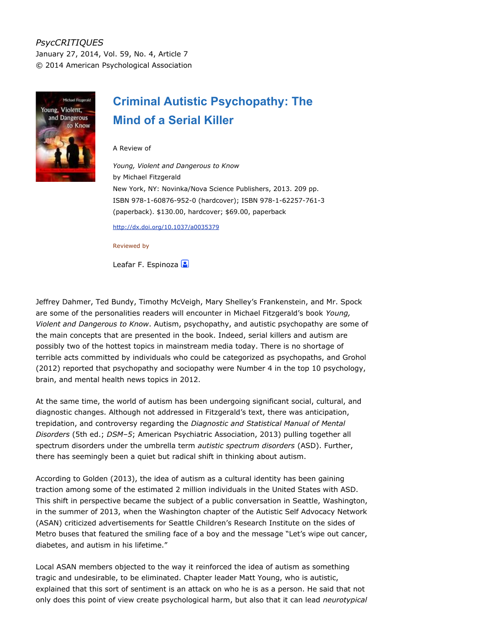## *PsycCRITIQUES* January 27, 2014, Vol. 59, No. 4, Article 7 © 2014 American Psychological Association



## **Criminal Autistic Psychopathy: The Mind of a Serial Killer**

A Review of

*Young, Violent and Dangerous to Know* by Michael Fitzgerald New York, NY: Novinka/Nova Science Publishers, 2013. 209 pp. ISBN 978-1-60876-952-0 (hardcover); ISBN 978-1-62257-761-3 (paperback). \$130.00, hardcover; \$69.00, paperback

<http://dx.doi.org/10.1037/a0035379>

Reviewed by

Leafar F. Espinoza

Jeffrey Dahmer, Ted Bundy, Timothy McVeigh, Mary Shelley's Frankenstein, and Mr. Spock are some of the personalities readers will encounter in Michael Fitzgerald's book *Young, Violent and Dangerous to Know*. Autism, psychopathy, and autistic psychopathy are some of the main concepts that are presented in the book. Indeed, serial killers and autism are possibly two of the hottest topics in mainstream media today. There is no shortage of terrible acts committed by individuals who could be categorized as psychopaths, and Grohol (2012) reported that psychopathy and sociopathy were Number 4 in the top 10 psychology, brain, and mental health news topics in 2012.

At the same time, the world of autism has been undergoing significant social, cultural, and diagnostic changes. Although not addressed in Fitzgerald's text, there was anticipation, trepidation, and controversy regarding the *Diagnostic and Statistical Manual of Mental Disorders* (5th ed.; *DSM–5*; American Psychiatric Association, 2013) pulling together all spectrum disorders under the umbrella term *autistic spectrum disorders* (ASD). Further, there has seemingly been a quiet but radical shift in thinking about autism.

According to Golden (2013), the idea of autism as a cultural identity has been gaining traction among some of the estimated 2 million individuals in the United States with ASD. This shift in perspective became the subject of a public conversation in Seattle, Washington, in the summer of 2013, when the Washington chapter of the Autistic Self Advocacy Network (ASAN) criticized advertisements for Seattle Children's Research Institute on the sides of Metro buses that featured the smiling face of a boy and the message "Let's wipe out cancer, diabetes, and autism in his lifetime."

Local ASAN members objected to the way it reinforced the idea of autism as something tragic and undesirable, to be eliminated. Chapter leader Matt Young, who is autistic, explained that this sort of sentiment is an attack on who he is as a person. He said that not only does this point of view create psychological harm, but also that it can lead *neurotypical*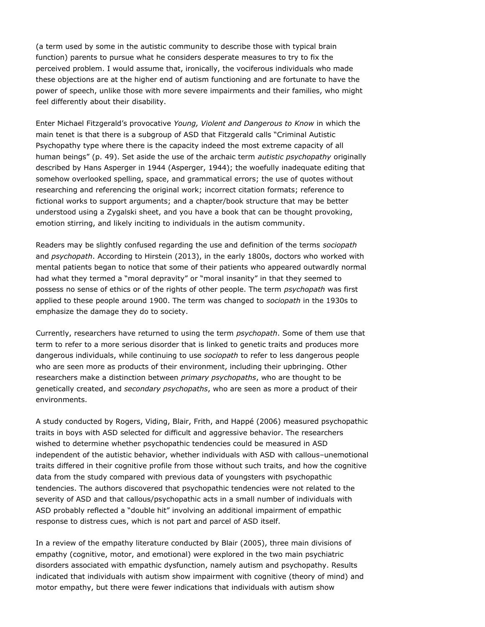(a term used by some in the autistic community to describe those with typical brain function) parents to pursue what he considers desperate measures to try to fix the perceived problem. I would assume that, ironically, the vociferous individuals who made these objections are at the higher end of autism functioning and are fortunate to have the power of speech, unlike those with more severe impairments and their families, who might feel differently about their disability.

Enter Michael Fitzgerald's provocative *Young, Violent and Dangerous to Know* in which the main tenet is that there is a subgroup of ASD that Fitzgerald calls "Criminal Autistic Psychopathy type where there is the capacity indeed the most extreme capacity of all human beings" (p. 49). Set aside the use of the archaic term *autistic psychopathy* originally described by Hans Asperger in 1944 (Asperger, 1944); the woefully inadequate editing that somehow overlooked spelling, space, and grammatical errors; the use of quotes without researching and referencing the original work; incorrect citation formats; reference to fictional works to support arguments; and a chapter/book structure that may be better understood using a Zygalski sheet, and you have a book that can be thought provoking, emotion stirring, and likely inciting to individuals in the autism community.

Readers may be slightly confused regarding the use and definition of the terms *sociopath* and *psychopath*. According to Hirstein (2013), in the early 1800s, doctors who worked with mental patients began to notice that some of their patients who appeared outwardly normal had what they termed a "moral depravity" or "moral insanity" in that they seemed to possess no sense of ethics or of the rights of other people. The term *psychopath* was first applied to these people around 1900. The term was changed to *sociopath* in the 1930s to emphasize the damage they do to society.

Currently, researchers have returned to using the term *psychopath*. Some of them use that term to refer to a more serious disorder that is linked to genetic traits and produces more dangerous individuals, while continuing to use *sociopath* to refer to less dangerous people who are seen more as products of their environment, including their upbringing. Other researchers make a distinction between *primary psychopaths*, who are thought to be genetically created, and *secondary psychopaths*, who are seen as more a product of their environments.

A study conducted by Rogers, Viding, Blair, Frith, and Happé (2006) measured psychopathic traits in boys with ASD selected for difficult and aggressive behavior. The researchers wished to determine whether psychopathic tendencies could be measured in ASD independent of the autistic behavior, whether individuals with ASD with callous–unemotional traits differed in their cognitive profile from those without such traits, and how the cognitive data from the study compared with previous data of youngsters with psychopathic tendencies. The authors discovered that psychopathic tendencies were not related to the severity of ASD and that callous/psychopathic acts in a small number of individuals with ASD probably reflected a "double hit" involving an additional impairment of empathic response to distress cues, which is not part and parcel of ASD itself.

In a review of the empathy literature conducted by Blair (2005), three main divisions of empathy (cognitive, motor, and emotional) were explored in the two main psychiatric disorders associated with empathic dysfunction, namely autism and psychopathy. Results indicated that individuals with autism show impairment with cognitive (theory of mind) and motor empathy, but there were fewer indications that individuals with autism show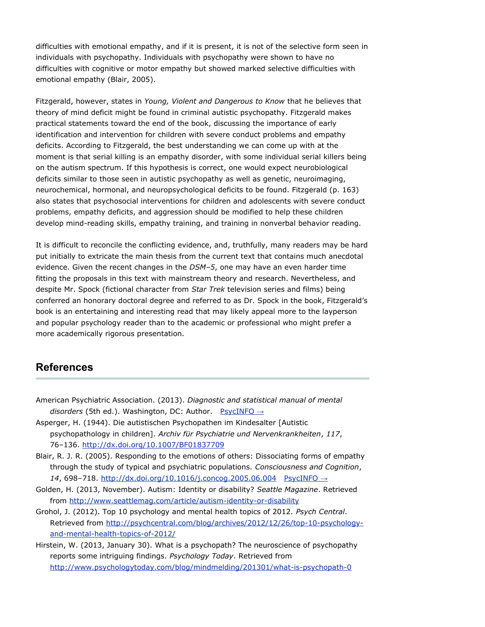difficulties with emotional empathy, and if it is present, it is not of the selective form seen in individuals with psychopathy. Individuals with psychopathy were shown to have no difficulties with cognitive or motor empathy but showed marked selective difficulties with emotional empathy (Blair, 2005).

Fitzgerald, however, states in *Young, Violent and Dangerous to Know* that he believes that theory of mind deficit might be found in criminal autistic psychopathy. Fitzgerald makes practical statements toward the end of the book, discussing the importance of early identification and intervention for children with severe conduct problems and empathy deficits. According to Fitzgerald, the best understanding we can come up with at the moment is that serial killing is an empathy disorder, with some individual serial killers being on the autism spectrum. If this hypothesis is correct, one would expect neurobiological deficits similar to those seen in autistic psychopathy as well as genetic, neuroimaging, neurochemical, hormonal, and neuropsychological deficits to be found. Fitzgerald (p. 163) also states that psychosocial interventions for children and adolescents with severe conduct problems, empathy deficits, and aggression should be modified to help these children develop mind-reading skills, empathy training, and training in nonverbal behavior reading.

It is difficult to reconcile the conflicting evidence, and, truthfully, many readers may be hard put initially to extricate the main thesis from the current text that contains much anecdotal evidence. Given the recent changes in the *DSM–5*, one may have an even harder time fitting the proposals in this text with mainstream theory and research. Nevertheless, and despite Mr. Spock (fictional character from *Star Trek* television series and films) being conferred an honorary doctoral degree and referred to as Dr. Spock in the book, Fitzgerald's book is an entertaining and interesting read that may likely appeal more to the layperson and popular psychology reader than to the academic or professional who might prefer a more academically rigorous presentation.

## **References**

- American Psychiatric Association. (2013). *Diagnostic and statistical manual of mental disorders* (5th ed.). Washington, DC: Author. [PsycINFO](http://psycnet.apa.org/psycinfo/2013-14907-000) →
- Asperger, H. (1944). Die autistischen Psychopathen im Kindesalter [Autistic psychopathology in children]. *Archiv für Psychiatrie und Nervenkrankheiten*, *117*, 76–136. <http://dx.doi.org/10.1007/BF01837709>
- Blair, R. J. R. (2005). Responding to the emotions of others: Dissociating forms of empathy through the study of typical and psychiatric populations. *Consciousness and Cognition*, *14*, 698–718. <http://dx.doi.org/10.1016/j.concog.2005.06.004> [PsycINFO](http://psycnet.apa.org/psycinfo/2005-16549-004) →
- Golden, H. (2013, November). Autism: Identity or disability? *Seattle Magazine*. Retrieved from <http://www.seattlemag.com/article/autism-identity-or-disability>
- Grohol, J. (2012). Top 10 psychology and mental health topics of 2012. *Psych Central*. Retrieved from [http://psychcentral.com/blog/archives/2012/12/26/top-10-psychology](http://psychcentral.com/blog/archives/2012/12/26/top-10-psychology-and-mental-health-topics-of-2012/)[and-mental-health-topics-of-2012/](http://psychcentral.com/blog/archives/2012/12/26/top-10-psychology-and-mental-health-topics-of-2012/)
- Hirstein, W. (2013, January 30). What is a psychopath? The neuroscience of psychopathy reports some intriguing findings. *Psychology Today*. Retrieved from <http://www.psychologytoday.com/blog/mindmelding/201301/what-is-psychopath-0>